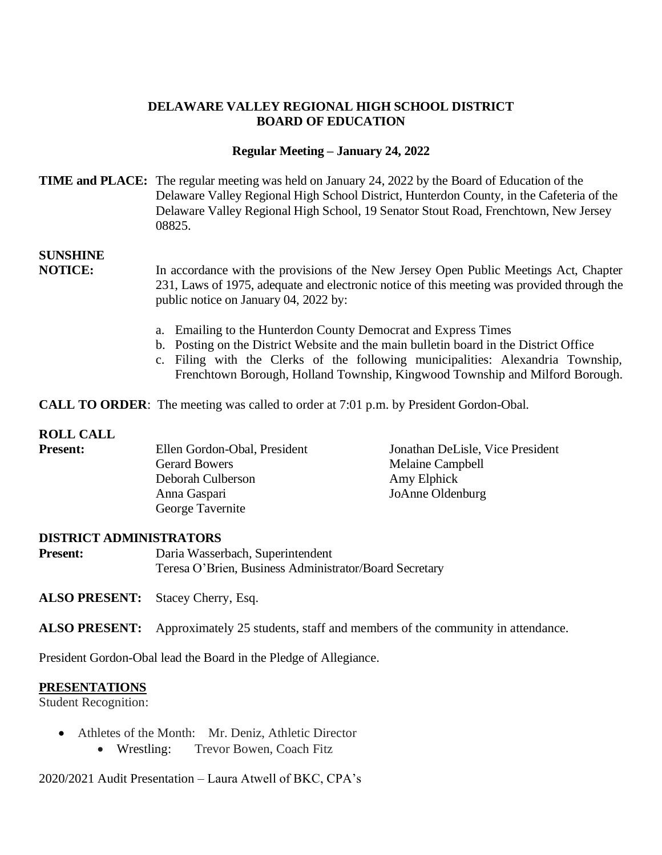### **DELAWARE VALLEY REGIONAL HIGH SCHOOL DISTRICT BOARD OF EDUCATION**

### **Regular Meeting – January 24, 2022**

### **TIME and PLACE:** The regular meeting was held on January 24, 2022 by the Board of Education of the Delaware Valley Regional High School District, Hunterdon County, in the Cafeteria of the Delaware Valley Regional High School, 19 Senator Stout Road, Frenchtown, New Jersey 08825.

# **SUNSHINE**

**NOTICE:** In accordance with the provisions of the New Jersey Open Public Meetings Act, Chapter 231, Laws of 1975, adequate and electronic notice of this meeting was provided through the public notice on January 04, 2022 by:

- a. Emailing to the Hunterdon County Democrat and Express Times
- b. Posting on the District Website and the main bulletin board in the District Office
- c. Filing with the Clerks of the following municipalities: Alexandria Township, Frenchtown Borough, Holland Township, Kingwood Township and Milford Borough.

**CALL TO ORDER:** The meeting was called to order at 7:01 p.m. by President Gordon-Obal.

### **ROLL CALL**

| <b>Present:</b> | Ellen Gordon-Obal, President | Jonathan DeLisle, Vice President |
|-----------------|------------------------------|----------------------------------|
|                 | <b>Gerard Bowers</b>         | Melaine Campbell                 |
|                 | Deborah Culberson            | Amy Elphick                      |
|                 | Anna Gaspari                 | JoAnne Oldenburg                 |
|                 | George Tavernite             |                                  |

### **DISTRICT ADMINISTRATORS**

Present: Daria Wasserbach, Superintendent Teresa O'Brien, Business Administrator/Board Secretary

**ALSO PRESENT:** Stacey Cherry, Esq.

**ALSO PRESENT:** Approximately 25 students, staff and members of the community in attendance.

President Gordon-Obal lead the Board in the Pledge of Allegiance.

### **PRESENTATIONS**

Student Recognition:

- Athletes of the Month: Mr. Deniz, Athletic Director
	- Wrestling: Trevor Bowen, Coach Fitz

2020/2021 Audit Presentation – Laura Atwell of BKC, CPA's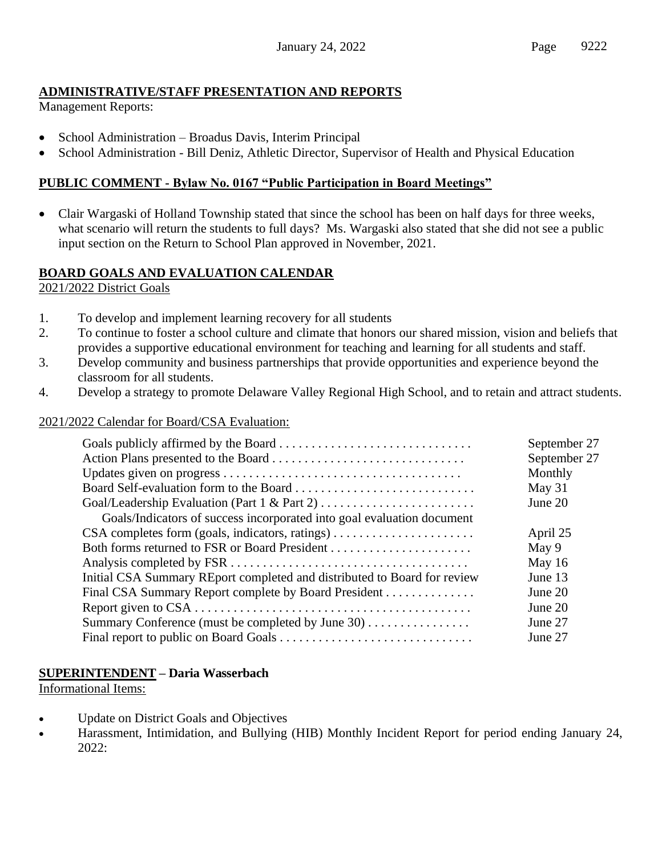# **ADMINISTRATIVE/STAFF PRESENTATION AND REPORTS**

Management Reports:

- School Administration Broadus Davis, Interim Principal
- School Administration Bill Deniz, Athletic Director, Supervisor of Health and Physical Education

# **PUBLIC COMMENT - Bylaw No. 0167 "Public Participation in Board Meetings"**

• Clair Wargaski of Holland Township stated that since the school has been on half days for three weeks, what scenario will return the students to full days? Ms. Wargaski also stated that she did not see a public input section on the Return to School Plan approved in November, 2021.

### **BOARD GOALS AND EVALUATION CALENDAR**

2021/2022 District Goals

- 1. To develop and implement learning recovery for all students
- 2. To continue to foster a school culture and climate that honors our shared mission, vision and beliefs that provides a supportive educational environment for teaching and learning for all students and staff.
- 3. Develop community and business partnerships that provide opportunities and experience beyond the classroom for all students.
- 4. Develop a strategy to promote Delaware Valley Regional High School, and to retain and attract students.

### 2021/2022 Calendar for Board/CSA Evaluation:

|                                                                          | September 27 |
|--------------------------------------------------------------------------|--------------|
|                                                                          | September 27 |
|                                                                          | Monthly      |
|                                                                          | May 31       |
|                                                                          | June 20      |
| Goals/Indicators of success incorporated into goal evaluation document   |              |
|                                                                          | April 25     |
|                                                                          | May 9        |
|                                                                          | May $16$     |
| Initial CSA Summary REport completed and distributed to Board for review | June 13      |
| Final CSA Summary Report complete by Board President                     | June 20      |
|                                                                          | June 20      |
| Summary Conference (must be completed by June 30)                        | June 27      |
|                                                                          | June 27      |

# **SUPERINTENDENT – Daria Wasserbach**

Informational Items:

- Update on District Goals and Objectives
- Harassment, Intimidation, and Bullying (HIB) Monthly Incident Report for period ending January 24, 2022: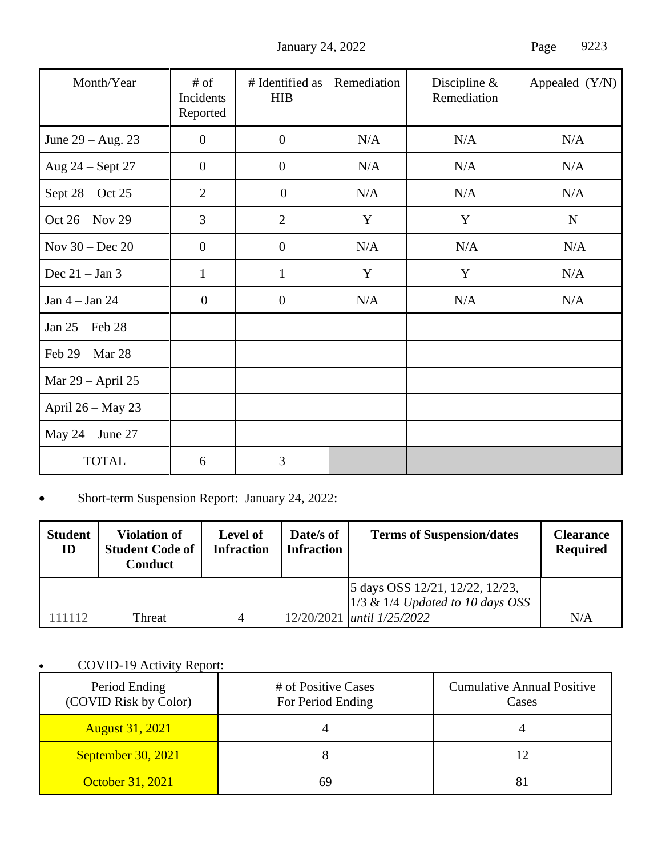January 24, 2022 Page 9223

| Month/Year          | $#$ of<br>Incidents<br>Reported | # Identified as<br><b>HIB</b> | Remediation | Discipline $\&$<br>Remediation | Appealed (Y/N) |
|---------------------|---------------------------------|-------------------------------|-------------|--------------------------------|----------------|
| June $29 - Aug. 23$ | $\overline{0}$                  | $\boldsymbol{0}$              | N/A         | N/A                            | N/A            |
| Aug 24 – Sept 27    | $\mathbf{0}$                    | $\overline{0}$                | N/A         | N/A                            | N/A            |
| Sept $28 - Oct 25$  | $\overline{2}$                  | $\theta$                      | N/A         | N/A                            | N/A            |
| Oct $26 - Nov 29$   | $\overline{3}$                  | $\overline{2}$                | Y           | Y                              | ${\bf N}$      |
| Nov $30 - Dec 20$   | $\boldsymbol{0}$                | $\boldsymbol{0}$              | N/A         | N/A                            | N/A            |
| Dec $21 - Jan 3$    | $\mathbf{1}$                    | $\mathbf{1}$                  | Y           | Y                              | N/A            |
| Jan $4 -$ Jan $24$  | $\theta$                        | $\mathbf{0}$                  | N/A         | N/A                            | N/A            |
| Jan 25 – Feb 28     |                                 |                               |             |                                |                |
| Feb 29 - Mar 28     |                                 |                               |             |                                |                |
| Mar 29 – April 25   |                                 |                               |             |                                |                |
| April 26 - May 23   |                                 |                               |             |                                |                |
| May $24 - June 27$  |                                 |                               |             |                                |                |
| <b>TOTAL</b>        | 6                               | 3                             |             |                                |                |

# • Short-term Suspension Report: January 24, 2022:

| <b>Student</b><br>ID | <b>Violation of</b><br><b>Student Code of</b><br>Conduct | <b>Level of</b><br><b>Infraction</b> | Date/s of<br><b>Infraction</b> | <b>Terms of Suspension/dates</b>                                                                           | <b>Clearance</b><br><b>Required</b> |
|----------------------|----------------------------------------------------------|--------------------------------------|--------------------------------|------------------------------------------------------------------------------------------------------------|-------------------------------------|
| 11112                | Threat                                                   | $\Delta$                             |                                | 5 days OSS 12/21, 12/22, 12/23,<br>$1/3$ & 1/4 Updated to 10 days OSS<br>12/20/2021 <i>until 1/25/2022</i> | N/A                                 |

# • COVID-19 Activity Report:

| Period Ending<br>(COVID Risk by Color) | # of Positive Cases<br>For Period Ending | <b>Cumulative Annual Positive</b><br>Cases |
|----------------------------------------|------------------------------------------|--------------------------------------------|
| <b>August 31, 2021</b>                 |                                          |                                            |
| September 30, 2021                     |                                          |                                            |
| October 31, 2021                       |                                          |                                            |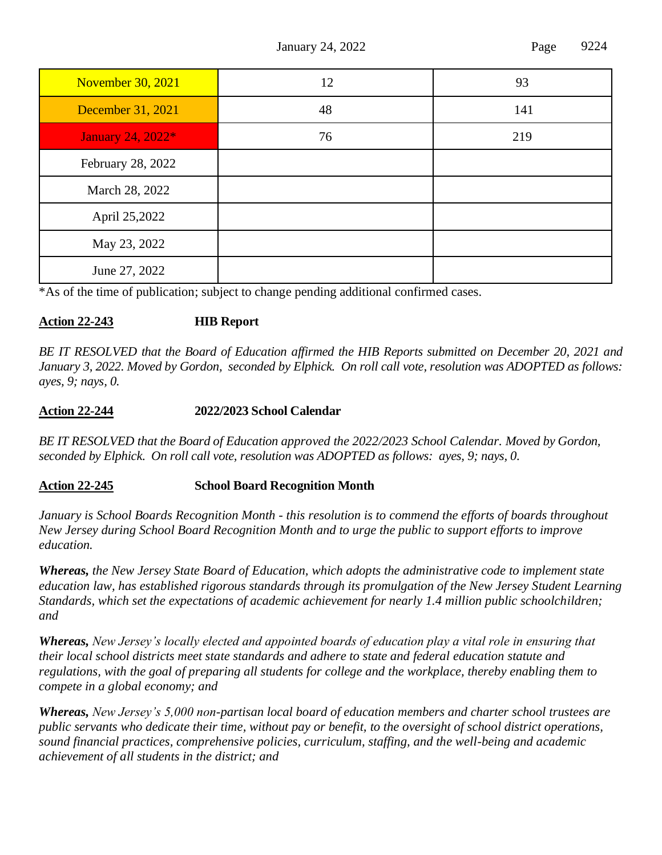January 24, 2022 **Page 9224** 

| <b>November 30, 2021</b> | 12 | 93  |
|--------------------------|----|-----|
| December 31, 2021        | 48 | 141 |
| January 24, 2022*        | 76 | 219 |
| February 28, 2022        |    |     |
| March 28, 2022           |    |     |
| April 25,2022            |    |     |
| May 23, 2022             |    |     |
| June 27, 2022            |    |     |

\*As of the time of publication; subject to change pending additional confirmed cases.

### **Action 22-243 HIB Report**

*BE IT RESOLVED that the Board of Education affirmed the HIB Reports submitted on December 20, 2021 and January 3, 2022. Moved by Gordon, seconded by Elphick. On roll call vote, resolution was ADOPTED as follows: ayes, 9; nays, 0.*

### **Action 22-244 2022/2023 School Calendar**

*BE IT RESOLVED that the Board of Education approved the 2022/2023 School Calendar. Moved by Gordon, seconded by Elphick. On roll call vote, resolution was ADOPTED as follows: ayes, 9; nays, 0.*

### **Action 22-245 School Board Recognition Month**

*January is School Boards Recognition Month - this resolution is to commend the efforts of boards throughout New Jersey during School Board Recognition Month and to urge the public to support efforts to improve education.*

*Whereas, the New Jersey State Board of Education, which adopts the administrative code to implement state education law, has established rigorous standards through its promulgation of the New Jersey Student Learning Standards, which set the expectations of academic achievement for nearly 1.4 million public schoolchildren; and*

*Whereas, New Jersey's locally elected and appointed boards of education play a vital role in ensuring that their local school districts meet state standards and adhere to state and federal education statute and regulations, with the goal of preparing all students for college and the workplace, thereby enabling them to compete in a global economy; and*

*Whereas, New Jersey's 5,000 non-partisan local board of education members and charter school trustees are public servants who dedicate their time, without pay or benefit, to the oversight of school district operations, sound financial practices, comprehensive policies, curriculum, staffing, and the well-being and academic achievement of all students in the district; and*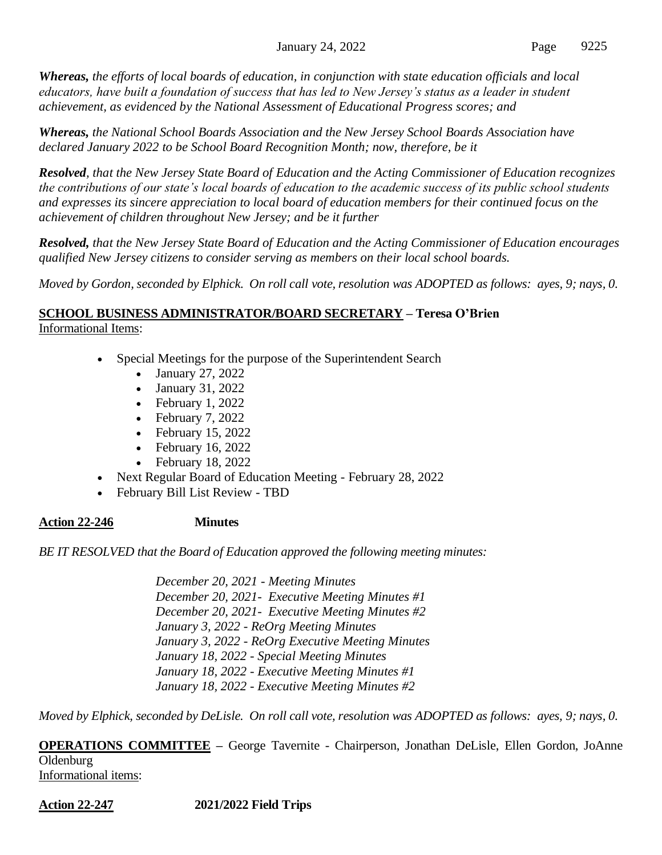*Whereas, the efforts of local boards of education, in conjunction with state education officials and local educators, have built a foundation of success that has led to New Jersey's status as a leader in student achievement, as evidenced by the National Assessment of Educational Progress scores; and*

*Whereas, the National School Boards Association and the New Jersey School Boards Association have declared January 2022 to be School Board Recognition Month; now, therefore, be it*

*Resolved, that the New Jersey State Board of Education and the Acting Commissioner of Education recognizes the contributions of our state's local boards of education to the academic success of its public school students and expresses its sincere appreciation to local board of education members for their continued focus on the achievement of children throughout New Jersey; and be it further*

*Resolved, that the New Jersey State Board of Education and the Acting Commissioner of Education encourages qualified New Jersey citizens to consider serving as members on their local school boards.*

*Moved by Gordon, seconded by Elphick. On roll call vote, resolution was ADOPTED as follows: ayes, 9; nays, 0.*

# **SCHOOL BUSINESS ADMINISTRATOR/BOARD SECRETARY – Teresa O'Brien**

Informational Items:

- Special Meetings for the purpose of the Superintendent Search
	- January 27, 2022
	- January 31, 2022
	- February 1, 2022
	- February 7, 2022
	- February 15, 2022
	- February 16, 2022
	- February 18, 2022
	- Next Regular Board of Education Meeting February 28, 2022
- February Bill List Review TBD

# **Action 22-246 Minutes**

*BE IT RESOLVED that the Board of Education approved the following meeting minutes:*

*December 20, 2021 - Meeting Minutes December 20, 2021- Executive Meeting Minutes #1 December 20, 2021- Executive Meeting Minutes #2 January 3, 2022 - ReOrg Meeting Minutes January 3, 2022 - ReOrg Executive Meeting Minutes January 18, 2022 - Special Meeting Minutes January 18, 2022 - Executive Meeting Minutes #1 January 18, 2022 - Executive Meeting Minutes #2*

*Moved by Elphick, seconded by DeLisle. On roll call vote, resolution was ADOPTED as follows: ayes, 9; nays, 0.*

**OPERATIONS COMMITTEE –** George Tavernite - Chairperson, Jonathan DeLisle, Ellen Gordon, JoAnne **Oldenburg** 

Informational items:

**Action 22-247 2021/2022 Field Trips**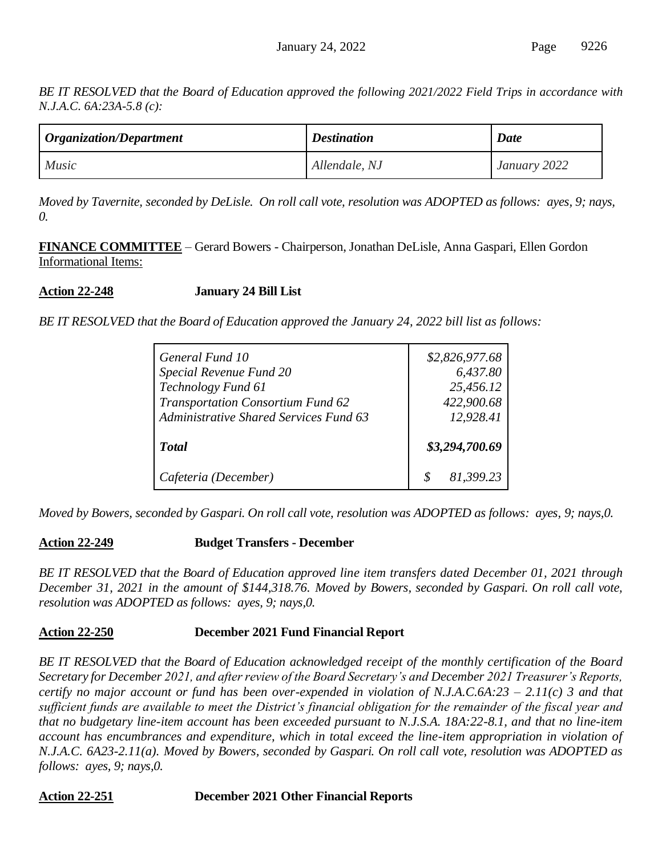*BE IT RESOLVED that the Board of Education approved the following 2021/2022 Field Trips in accordance with N.J.A.C. 6A:23A-5.8 (c):*

| $\log$ <i>Organization/Department</i> | <b>Destination</b> | <b>Date</b>  |
|---------------------------------------|--------------------|--------------|
| <i>Music</i>                          | Allendale, NJ      | January 2022 |

*Moved by Tavernite, seconded by DeLisle. On roll call vote, resolution was ADOPTED as follows: ayes, 9; nays, 0.*

**FINANCE COMMITTEE** – Gerard Bowers - Chairperson, Jonathan DeLisle, Anna Gaspari, Ellen Gordon Informational Items:

**Action 22-248 January 24 Bill List** 

*BE IT RESOLVED that the Board of Education approved the January 24, 2022 bill list as follows:*

| General Fund 10                               | \$2,826,977.68        |
|-----------------------------------------------|-----------------------|
| Special Revenue Fund 20<br>Technology Fund 61 | 6,437.80<br>25,456.12 |
| Transportation Consortium Fund 62             | 422,900.68            |
| <b>Administrative Shared Services Fund 63</b> | 12,928.41             |
| <b>Total</b>                                  | \$3,294,700.69        |
| Cafeteria (December)                          | 81,399.23             |

*Moved by Bowers, seconded by Gaspari. On roll call vote, resolution was ADOPTED as follows: ayes, 9; nays,0.*

# **Action 22-249 Budget Transfers - December**

*BE IT RESOLVED that the Board of Education approved line item transfers dated December 01, 2021 through December 31, 2021 in the amount of \$144,318.76. Moved by Bowers, seconded by Gaspari. On roll call vote, resolution was ADOPTED as follows: ayes, 9; nays,0.*

# **Action 22-250 December 2021 Fund Financial Report**

*BE IT RESOLVED that the Board of Education acknowledged receipt of the monthly certification of the Board Secretary for December 2021, and after review of the Board Secretary's and December 2021 Treasurer's Reports, certify no major account or fund has been over-expended in violation of N.J.A.C.6A:23 – 2.11(c) 3 and that sufficient funds are available to meet the District's financial obligation for the remainder of the fiscal year and that no budgetary line-item account has been exceeded pursuant to N.J.S.A. 18A:22-8.1, and that no line-item account has encumbrances and expenditure, which in total exceed the line-item appropriation in violation of N.J.A.C. 6A23-2.11(a). Moved by Bowers, seconded by Gaspari. On roll call vote, resolution was ADOPTED as follows: ayes, 9; nays,0.*

**Action 22-251 December 2021 Other Financial Reports**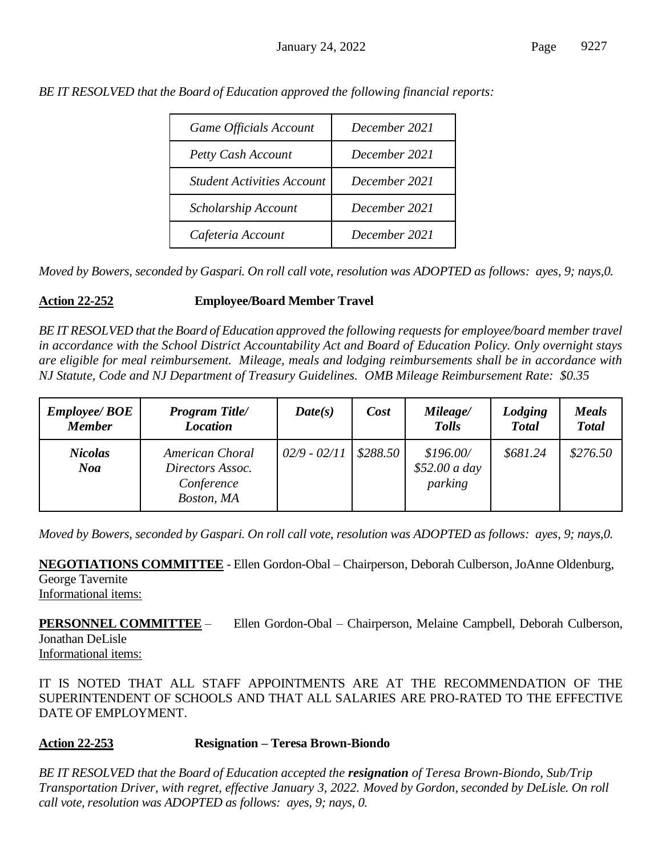| <b>Game Officials Account</b>     | December 2021 |
|-----------------------------------|---------------|
| <b>Petty Cash Account</b>         | December 2021 |
| <b>Student Activities Account</b> | December 2021 |
| Scholarship Account               | December 2021 |
| Cafeteria Account                 | December 2021 |

*BE IT RESOLVED that the Board of Education approved the following financial reports:*

*Moved by Bowers, seconded by Gaspari. On roll call vote, resolution was ADOPTED as follows: ayes, 9; nays,0.*

### **Action 22-252 Employee/Board Member Travel**

*BE IT RESOLVED that the Board of Education approved the following requests for employee/board member travel in accordance with the School District Accountability Act and Board of Education Policy. Only overnight stays are eligible for meal reimbursement. Mileage, meals and lodging reimbursements shall be in accordance with NJ Statute, Code and NJ Department of Treasury Guidelines. OMB Mileage Reimbursement Rate: \$0.35*

| <b>Employee/ BOE</b><br><b>Member</b> | <b>Program Title/</b><br><b>Location</b>                        | Date(s)        | Cost     | Mileage/<br><b>Tolls</b>              | Lodging<br><b>Total</b> | <b>Meals</b><br><b>Total</b> |
|---------------------------------------|-----------------------------------------------------------------|----------------|----------|---------------------------------------|-------------------------|------------------------------|
| <b>Nicolas</b><br><b>Noa</b>          | American Choral<br>Directors Assoc.<br>Conference<br>Boston, MA | $02/9 - 02/11$ | \$288.50 | \$196.00/<br>\$52.00 a day<br>parking | \$681.24                | \$276.50                     |

*Moved by Bowers, seconded by Gaspari. On roll call vote, resolution was ADOPTED as follows: ayes, 9; nays,0.*

**NEGOTIATIONS COMMITTEE** - Ellen Gordon-Obal – Chairperson, Deborah Culberson, JoAnne Oldenburg, George Tavernite

Informational items:

**PERSONNEL COMMITTEE** – Ellen Gordon-Obal – Chairperson, Melaine Campbell, Deborah Culberson, Jonathan DeLisle Informational items:

IT IS NOTED THAT ALL STAFF APPOINTMENTS ARE AT THE RECOMMENDATION OF THE SUPERINTENDENT OF SCHOOLS AND THAT ALL SALARIES ARE PRO-RATED TO THE EFFECTIVE DATE OF EMPLOYMENT.

# **Action 22-253 Resignation – Teresa Brown-Biondo**

*BE IT RESOLVED that the Board of Education accepted the resignation of Teresa Brown-Biondo, Sub/Trip Transportation Driver, with regret, effective January 3, 2022. Moved by Gordon, seconded by DeLisle. On roll call vote, resolution was ADOPTED as follows: ayes, 9; nays, 0.*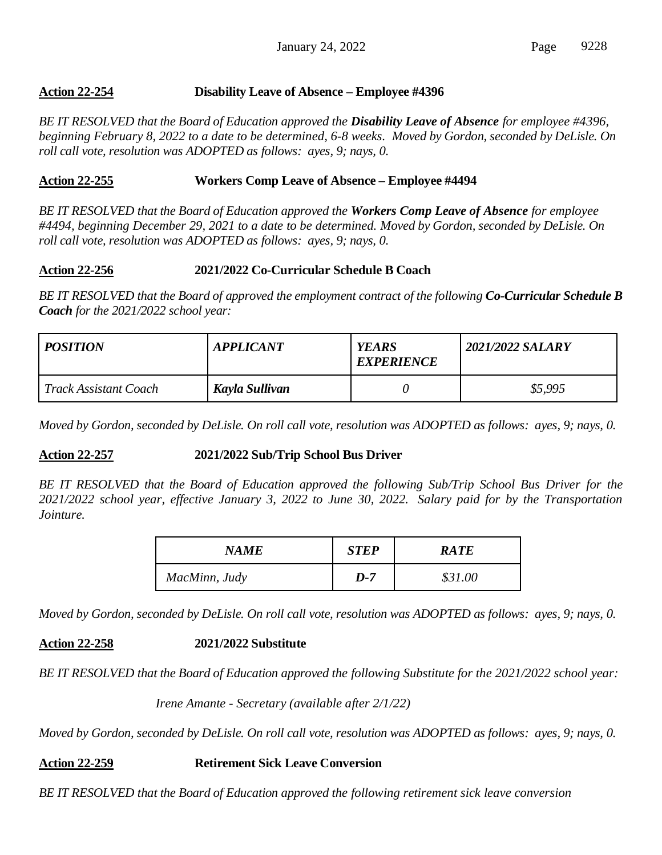### **Action 22-254 Disability Leave of Absence – Employee #4396**

*BE IT RESOLVED that the Board of Education approved the Disability Leave of Absence for employee #4396, beginning February 8, 2022 to a date to be determined, 6-8 weeks. Moved by Gordon, seconded by DeLisle. On roll call vote, resolution was ADOPTED as follows: ayes, 9; nays, 0.*

### **Action 22-255 Workers Comp Leave of Absence – Employee #4494**

*BE IT RESOLVED that the Board of Education approved the Workers Comp Leave of Absence for employee #4494, beginning December 29, 2021 to a date to be determined. Moved by Gordon, seconded by DeLisle. On roll call vote, resolution was ADOPTED as follows: ayes, 9; nays, 0.*

### **Action 22-256 2021/2022 Co-Curricular Schedule B Coach**

*BE IT RESOLVED that the Board of approved the employment contract of the following Co-Curricular Schedule B Coach for the 2021/2022 school year:*

| <b>POSITION</b>              | <b>YEARS</b><br><b>APPLICANT</b><br><b>EXPERIENCE</b> |  | 2021/2022 SALARY |
|------------------------------|-------------------------------------------------------|--|------------------|
| <i>Track Assistant Coach</i> | Kayla Sullivan                                        |  | \$5,995          |

*Moved by Gordon, seconded by DeLisle. On roll call vote, resolution was ADOPTED as follows: ayes, 9; nays, 0.*

### **Action 22-257 2021/2022 Sub/Trip School Bus Driver**

*BE IT RESOLVED that the Board of Education approved the following Sub/Trip School Bus Driver for the 2021/2022 school year, effective January 3, 2022 to June 30, 2022. Salary paid for by the Transportation Jointure.*

| NAME          | <b>STEP</b> | <b>RATE</b> |
|---------------|-------------|-------------|
| MacMinn, Judy | $D-7$       | \$31.00     |

*Moved by Gordon, seconded by DeLisle. On roll call vote, resolution was ADOPTED as follows: ayes, 9; nays, 0.*

**Action 22-258 2021/2022 Substitute**

*BE IT RESOLVED that the Board of Education approved the following Substitute for the 2021/2022 school year:*

*Irene Amante - Secretary (available after 2/1/22)*

*Moved by Gordon, seconded by DeLisle. On roll call vote, resolution was ADOPTED as follows: ayes, 9; nays, 0.*

### **Action 22-259 Retirement Sick Leave Conversion**

*BE IT RESOLVED that the Board of Education approved the following retirement sick leave conversion*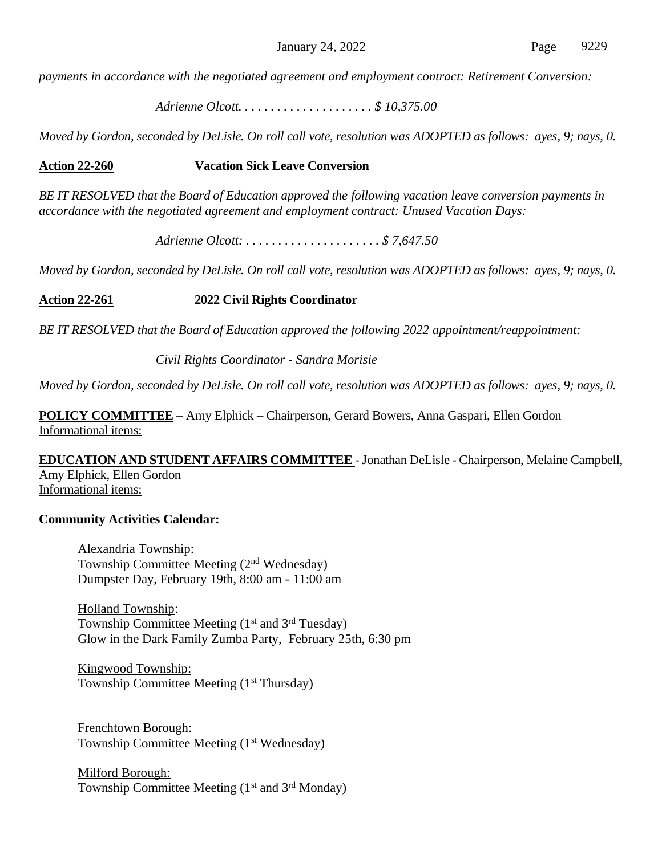*payments in accordance with the negotiated agreement and employment contract: Retirement Conversion:*

*Adrienne Olcott. . . . . . . . . . . . . . . . . . . . . \$ 10,375.00*

*Moved by Gordon, seconded by DeLisle. On roll call vote, resolution was ADOPTED as follows: ayes, 9; nays, 0.*

### **Action 22-260 Vacation Sick Leave Conversion**

*BE IT RESOLVED that the Board of Education approved the following vacation leave conversion payments in accordance with the negotiated agreement and employment contract: Unused Vacation Days:*

*Adrienne Olcott: . . . . . . . . . . . . . . . . . . . . . \$ 7,647.50*

*Moved by Gordon, seconded by DeLisle. On roll call vote, resolution was ADOPTED as follows: ayes, 9; nays, 0.*

**Action 22-261 2022 Civil Rights Coordinator**

*BE IT RESOLVED that the Board of Education approved the following 2022 appointment/reappointment:*

*Civil Rights Coordinator - Sandra Morisie*

*Moved by Gordon, seconded by DeLisle. On roll call vote, resolution was ADOPTED as follows: ayes, 9; nays, 0.*

**POLICY COMMITTEE** – Amy Elphick – Chairperson, Gerard Bowers, Anna Gaspari, Ellen Gordon Informational items:

**EDUCATION AND STUDENT AFFAIRS COMMITTEE** -Jonathan DeLisle - Chairperson, Melaine Campbell, Amy Elphick, Ellen Gordon Informational items:

### **Community Activities Calendar:**

Alexandria Township: Township Committee Meeting (2nd Wednesday) Dumpster Day, February 19th, 8:00 am - 11:00 am

Holland Township: Township Committee Meeting  $(1<sup>st</sup>$  and  $3<sup>rd</sup>$  Tuesday) Glow in the Dark Family Zumba Party, February 25th, 6:30 pm

Kingwood Township: Township Committee Meeting (1<sup>st</sup> Thursday)

Frenchtown Borough: Township Committee Meeting (1<sup>st</sup> Wednesday)

Milford Borough: Township Committee Meeting  $(1<sup>st</sup>$  and  $3<sup>rd</sup>$  Monday)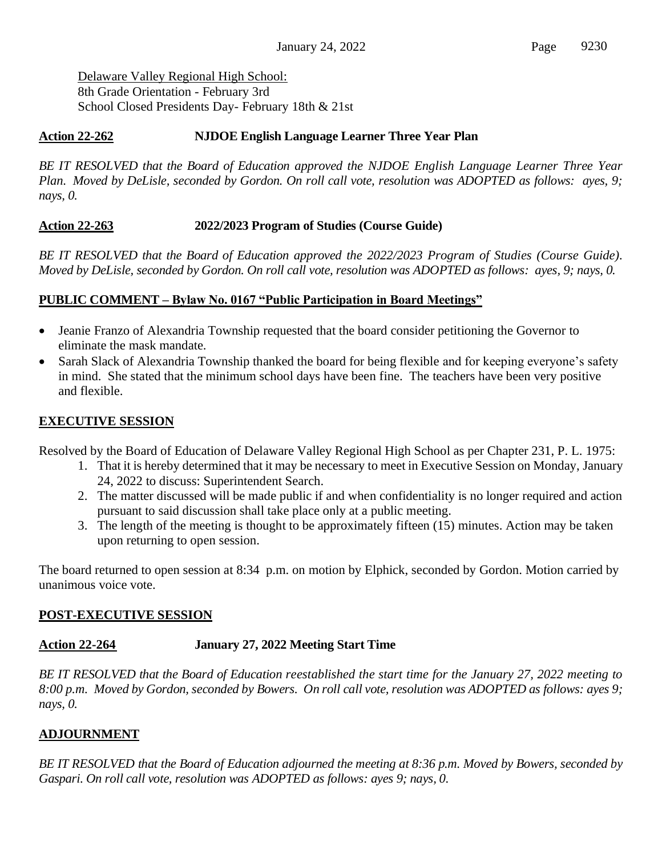Delaware Valley Regional High School: 8th Grade Orientation - February 3rd School Closed Presidents Day- February 18th & 21st

# **Action 22-262 NJDOE English Language Learner Three Year Plan**

*BE IT RESOLVED that the Board of Education approved the NJDOE English Language Learner Three Year Plan. Moved by DeLisle, seconded by Gordon. On roll call vote, resolution was ADOPTED as follows: ayes, 9; nays, 0.*

# **Action 22-263 2022/2023 Program of Studies (Course Guide)**

*BE IT RESOLVED that the Board of Education approved the 2022/2023 Program of Studies (Course Guide). Moved by DeLisle, seconded by Gordon. On roll call vote, resolution was ADOPTED as follows: ayes, 9; nays, 0.*

# **PUBLIC COMMENT – Bylaw No. 0167 "Public Participation in Board Meetings"**

- Jeanie Franzo of Alexandria Township requested that the board consider petitioning the Governor to eliminate the mask mandate.
- Sarah Slack of Alexandria Township thanked the board for being flexible and for keeping everyone's safety in mind. She stated that the minimum school days have been fine. The teachers have been very positive and flexible.

# **EXECUTIVE SESSION**

Resolved by the Board of Education of Delaware Valley Regional High School as per Chapter 231, P. L. 1975:

- 1. That it is hereby determined that it may be necessary to meet in Executive Session on Monday, January 24, 2022 to discuss: Superintendent Search.
- 2. The matter discussed will be made public if and when confidentiality is no longer required and action pursuant to said discussion shall take place only at a public meeting.
- 3. The length of the meeting is thought to be approximately fifteen (15) minutes. Action may be taken upon returning to open session.

The board returned to open session at 8:34 p.m. on motion by Elphick, seconded by Gordon. Motion carried by unanimous voice vote.

# **POST-EXECUTIVE SESSION**

# **Action 22-264 January 27, 2022 Meeting Start Time**

*BE IT RESOLVED that the Board of Education reestablished the start time for the January 27, 2022 meeting to 8:00 p.m. Moved by Gordon, seconded by Bowers. On roll call vote, resolution was ADOPTED as follows: ayes 9; nays, 0.*

# **ADJOURNMENT**

*BE IT RESOLVED that the Board of Education adjourned the meeting at 8:36 p.m. Moved by Bowers, seconded by Gaspari. On roll call vote, resolution was ADOPTED as follows: ayes 9; nays, 0.*